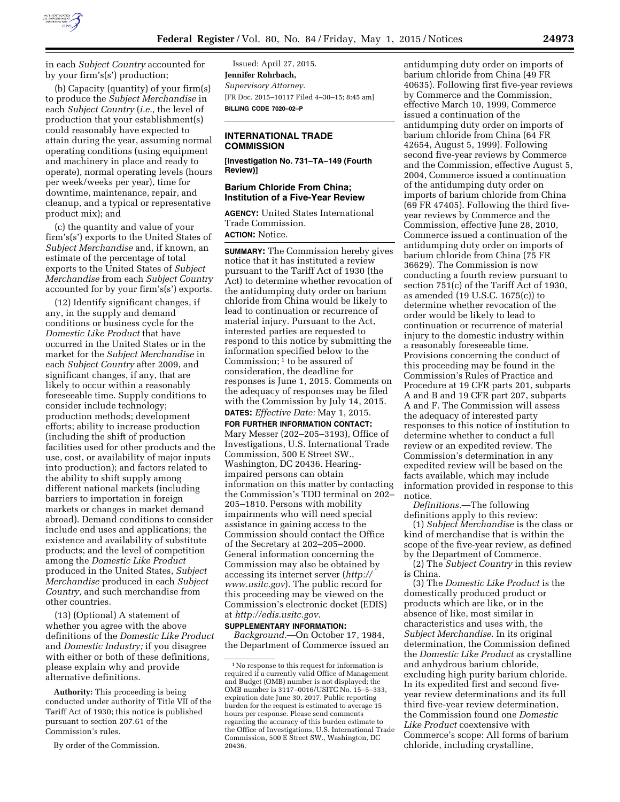

in each *Subject Country* accounted for by your firm's(s') production;

(b) Capacity (quantity) of your firm(s) to produce the *Subject Merchandise* in each *Subject Country* (*i.e.,* the level of production that your establishment(s) could reasonably have expected to attain during the year, assuming normal operating conditions (using equipment and machinery in place and ready to operate), normal operating levels (hours per week/weeks per year), time for downtime, maintenance, repair, and cleanup, and a typical or representative product mix); and

(c) the quantity and value of your firm's(s') exports to the United States of *Subject Merchandise* and, if known, an estimate of the percentage of total exports to the United States of *Subject Merchandise* from each *Subject Country*  accounted for by your firm's(s') exports.

(12) Identify significant changes, if any, in the supply and demand conditions or business cycle for the *Domestic Like Product* that have occurred in the United States or in the market for the *Subject Merchandise* in each *Subject Country* after 2009, and significant changes, if any, that are likely to occur within a reasonably foreseeable time. Supply conditions to consider include technology; production methods; development efforts; ability to increase production (including the shift of production facilities used for other products and the use, cost, or availability of major inputs into production); and factors related to the ability to shift supply among different national markets (including barriers to importation in foreign markets or changes in market demand abroad). Demand conditions to consider include end uses and applications; the existence and availability of substitute products; and the level of competition among the *Domestic Like Product*  produced in the United States, *Subject Merchandise* produced in each *Subject Country,* and such merchandise from other countries.

(13) (Optional) A statement of whether you agree with the above definitions of the *Domestic Like Product*  and *Domestic Industry;* if you disagree with either or both of these definitions, please explain why and provide alternative definitions.

**Authority:** This proceeding is being conducted under authority of Title VII of the Tariff Act of 1930; this notice is published pursuant to section 207.61 of the Commission's rules.

By order of the Commission.

Issued: April 27, 2015. **Jennifer Rohrbach,**  *Supervisory Attorney.*  [FR Doc. 2015–10117 Filed 4–30–15; 8:45 am] **BILLING CODE 7020–02–P** 

## **INTERNATIONAL TRADE COMMISSION**

**[Investigation No. 731–TA–149 (Fourth Review)]** 

## **Barium Chloride From China; Institution of a Five-Year Review**

**AGENCY:** United States International Trade Commission. **ACTION:** Notice.

**SUMMARY:** The Commission hereby gives notice that it has instituted a review pursuant to the Tariff Act of 1930 (the Act) to determine whether revocation of the antidumping duty order on barium chloride from China would be likely to lead to continuation or recurrence of material injury. Pursuant to the Act, interested parties are requested to respond to this notice by submitting the information specified below to the Commission;  $\bar{1}$  to be assured of consideration, the deadline for responses is June 1, 2015. Comments on the adequacy of responses may be filed with the Commission by July 14, 2015. **DATES:** *Effective Date:* May 1, 2015.

**FOR FURTHER INFORMATION CONTACT:**  Mary Messer (202–205–3193), Office of Investigations, U.S. International Trade Commission, 500 E Street SW., Washington, DC 20436. Hearingimpaired persons can obtain information on this matter by contacting the Commission's TDD terminal on 202– 205–1810. Persons with mobility impairments who will need special assistance in gaining access to the Commission should contact the Office of the Secretary at 202–205–2000. General information concerning the Commission may also be obtained by accessing its internet server (*[http://](http://www.usitc.gov) [www.usitc.gov](http://www.usitc.gov)*). The public record for this proceeding may be viewed on the Commission's electronic docket (EDIS) at *<http://edis.usitc.gov>*.

## **SUPPLEMENTARY INFORMATION:**

*Background.*—On October 17, 1984, the Department of Commerce issued an

antidumping duty order on imports of barium chloride from China (49 FR 40635). Following first five-year reviews by Commerce and the Commission, effective March 10, 1999, Commerce issued a continuation of the antidumping duty order on imports of barium chloride from China (64 FR 42654, August 5, 1999). Following second five-year reviews by Commerce and the Commission, effective August 5, 2004, Commerce issued a continuation of the antidumping duty order on imports of barium chloride from China (69 FR 47405). Following the third fiveyear reviews by Commerce and the Commission, effective June 28, 2010, Commerce issued a continuation of the antidumping duty order on imports of barium chloride from China (75 FR 36629). The Commission is now conducting a fourth review pursuant to section 751(c) of the Tariff Act of 1930, as amended (19 U.S.C. 1675(c)) to determine whether revocation of the order would be likely to lead to continuation or recurrence of material injury to the domestic industry within a reasonably foreseeable time. Provisions concerning the conduct of this proceeding may be found in the Commission's Rules of Practice and Procedure at 19 CFR parts 201, subparts A and B and 19 CFR part 207, subparts A and F. The Commission will assess the adequacy of interested party responses to this notice of institution to determine whether to conduct a full review or an expedited review. The Commission's determination in any expedited review will be based on the facts available, which may include information provided in response to this notice.

*Definitions.*—The following definitions apply to this review:

(1) *Subject Merchandise* is the class or kind of merchandise that is within the scope of the five-year review, as defined by the Department of Commerce.

(2) The *Subject Country* in this review is China.

(3) The *Domestic Like Product* is the domestically produced product or products which are like, or in the absence of like, most similar in characteristics and uses with, the *Subject Merchandise*. In its original determination, the Commission defined the *Domestic Like Product* as crystalline and anhydrous barium chloride, excluding high purity barium chloride. In its expedited first and second fiveyear review determinations and its full third five-year review determination, the Commission found one *Domestic Like Product* coextensive with Commerce's scope: All forms of barium chloride, including crystalline,

<sup>&</sup>lt;sup>1</sup>No response to this request for information is required if a currently valid Office of Management and Budget (OMB) number is not displayed; the OMB number is 3117–0016/USITC No. 15–5–333, expiration date June 30, 2017. Public reporting burden for the request is estimated to average 15 hours per response. Please send comments regarding the accuracy of this burden estimate to the Office of Investigations, U.S. International Trade Commission, 500 E Street SW., Washington, DC 20436.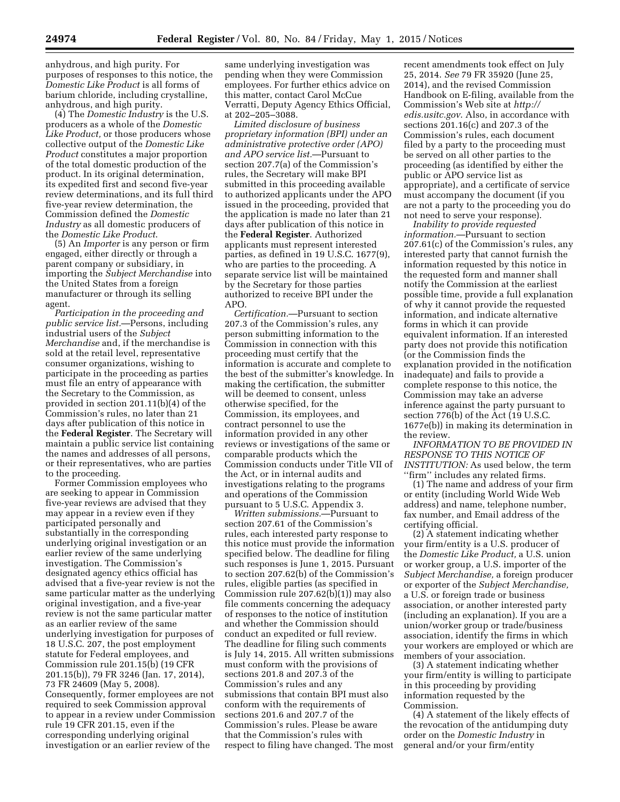anhydrous, and high purity. For purposes of responses to this notice, the *Domestic Like Product* is all forms of barium chloride, including crystalline, anhydrous, and high purity.

(4) The *Domestic Industry* is the U.S. producers as a whole of the *Domestic Like Product,* or those producers whose collective output of the *Domestic Like Product* constitutes a major proportion of the total domestic production of the product. In its original determination, its expedited first and second five-year review determinations, and its full third five-year review determination, the Commission defined the *Domestic Industry* as all domestic producers of the *Domestic Like Product*.

(5) An *Importer* is any person or firm engaged, either directly or through a parent company or subsidiary, in importing the *Subject Merchandise* into the United States from a foreign manufacturer or through its selling agent.

*Participation in the proceeding and public service list.*—Persons, including industrial users of the *Subject Merchandise* and, if the merchandise is sold at the retail level, representative consumer organizations, wishing to participate in the proceeding as parties must file an entry of appearance with the Secretary to the Commission, as provided in section 201.11(b)(4) of the Commission's rules, no later than 21 days after publication of this notice in the **Federal Register**. The Secretary will maintain a public service list containing the names and addresses of all persons, or their representatives, who are parties to the proceeding.

Former Commission employees who are seeking to appear in Commission five-year reviews are advised that they may appear in a review even if they participated personally and substantially in the corresponding underlying original investigation or an earlier review of the same underlying investigation. The Commission's designated agency ethics official has advised that a five-year review is not the same particular matter as the underlying original investigation, and a five-year review is not the same particular matter as an earlier review of the same underlying investigation for purposes of 18 U.S.C. 207, the post employment statute for Federal employees, and Commission rule 201.15(b) (19 CFR 201.15(b)), 79 FR 3246 (Jan. 17, 2014), 73 FR 24609 (May 5, 2008). Consequently, former employees are not required to seek Commission approval to appear in a review under Commission rule 19 CFR 201.15, even if the corresponding underlying original investigation or an earlier review of the

same underlying investigation was pending when they were Commission employees. For further ethics advice on this matter, contact Carol McCue Verratti, Deputy Agency Ethics Official, at 202–205–3088.

*Limited disclosure of business proprietary information (BPI) under an administrative protective order (APO) and APO service list.*—Pursuant to section 207.7(a) of the Commission's rules, the Secretary will make BPI submitted in this proceeding available to authorized applicants under the APO issued in the proceeding, provided that the application is made no later than 21 days after publication of this notice in the **Federal Register**. Authorized applicants must represent interested parties, as defined in 19 U.S.C. 1677(9), who are parties to the proceeding. A separate service list will be maintained by the Secretary for those parties authorized to receive BPI under the APO.

*Certification.*—Pursuant to section 207.3 of the Commission's rules, any person submitting information to the Commission in connection with this proceeding must certify that the information is accurate and complete to the best of the submitter's knowledge. In making the certification, the submitter will be deemed to consent, unless otherwise specified, for the Commission, its employees, and contract personnel to use the information provided in any other reviews or investigations of the same or comparable products which the Commission conducts under Title VII of the Act, or in internal audits and investigations relating to the programs and operations of the Commission pursuant to 5 U.S.C. Appendix 3.

*Written submissions.*—Pursuant to section 207.61 of the Commission's rules, each interested party response to this notice must provide the information specified below. The deadline for filing such responses is June 1, 2015. Pursuant to section 207.62(b) of the Commission's rules, eligible parties (as specified in Commission rule 207.62(b)(1)) may also file comments concerning the adequacy of responses to the notice of institution and whether the Commission should conduct an expedited or full review. The deadline for filing such comments is July 14, 2015. All written submissions must conform with the provisions of sections 201.8 and 207.3 of the Commission's rules and any submissions that contain BPI must also conform with the requirements of sections 201.6 and 207.7 of the Commission's rules. Please be aware that the Commission's rules with respect to filing have changed. The most

recent amendments took effect on July 25, 2014. *See* 79 FR 35920 (June 25, 2014), and the revised Commission Handbook on E-filing, available from the Commission's Web site at *[http://](http://edis.usitc.gov) [edis.usitc.gov](http://edis.usitc.gov)*. Also, in accordance with sections 201.16(c) and 207.3 of the Commission's rules, each document filed by a party to the proceeding must be served on all other parties to the proceeding (as identified by either the public or APO service list as appropriate), and a certificate of service must accompany the document (if you are not a party to the proceeding you do not need to serve your response).

*Inability to provide requested information.*—Pursuant to section 207.61(c) of the Commission's rules, any interested party that cannot furnish the information requested by this notice in the requested form and manner shall notify the Commission at the earliest possible time, provide a full explanation of why it cannot provide the requested information, and indicate alternative forms in which it can provide equivalent information. If an interested party does not provide this notification (or the Commission finds the explanation provided in the notification inadequate) and fails to provide a complete response to this notice, the Commission may take an adverse inference against the party pursuant to section 776(b) of the Act (19 U.S.C. 1677e(b)) in making its determination in the review.

*INFORMATION TO BE PROVIDED IN RESPONSE TO THIS NOTICE OF INSTITUTION:* As used below, the term ''firm'' includes any related firms.

(1) The name and address of your firm or entity (including World Wide Web address) and name, telephone number, fax number, and Email address of the certifying official.

(2) A statement indicating whether your firm/entity is a U.S. producer of the *Domestic Like Product,* a U.S. union or worker group, a U.S. importer of the *Subject Merchandise,* a foreign producer or exporter of the *Subject Merchandise,*  a U.S. or foreign trade or business association, or another interested party (including an explanation). If you are a union/worker group or trade/business association, identify the firms in which your workers are employed or which are members of your association.

(3) A statement indicating whether your firm/entity is willing to participate in this proceeding by providing information requested by the Commission.

(4) A statement of the likely effects of the revocation of the antidumping duty order on the *Domestic Industry* in general and/or your firm/entity